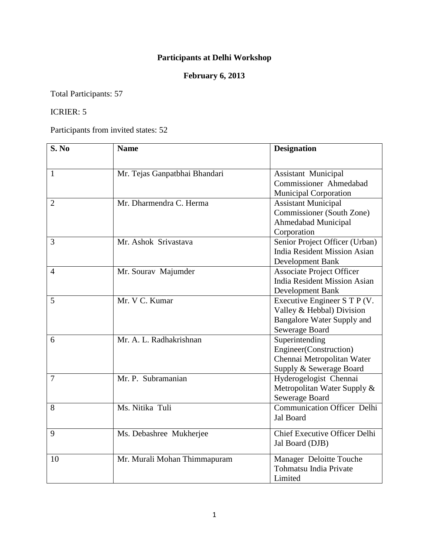## **Participants at Delhi Workshop**

## **February 6, 2013**

Total Participants: 57

## ICRIER: 5

Participants from invited states: 52

| S. No          | <b>Name</b>                   | <b>Designation</b>                                   |
|----------------|-------------------------------|------------------------------------------------------|
|                |                               |                                                      |
| 1              | Mr. Tejas Ganpatbhai Bhandari | <b>Assistant Municipal</b>                           |
|                |                               | Commissioner Ahmedabad                               |
|                |                               | <b>Municipal Corporation</b>                         |
| 2              | Mr. Dharmendra C. Herma       | <b>Assistant Municipal</b>                           |
|                |                               | Commissioner (South Zone)                            |
|                |                               | Ahmedabad Municipal                                  |
|                |                               | Corporation                                          |
| 3              | Mr. Ashok Srivastava          | Senior Project Officer (Urban)                       |
|                |                               | <b>India Resident Mission Asian</b>                  |
|                |                               | Development Bank                                     |
| $\overline{4}$ | Mr. Sourav Majumder           | <b>Associate Project Officer</b>                     |
|                |                               | <b>India Resident Mission Asian</b>                  |
|                |                               | <b>Development Bank</b>                              |
| 5              | Mr. V C. Kumar                | Executive Engineer S T P (V.                         |
|                |                               | Valley & Hebbal) Division                            |
|                |                               | Bangalore Water Supply and                           |
|                |                               | Sewerage Board                                       |
| 6              | Mr. A. L. Radhakrishnan       | Superintending                                       |
|                |                               | Engineer(Construction)                               |
|                |                               | Chennai Metropolitan Water                           |
| 7              | Mr. P. Subramanian            | Supply & Sewerage Board                              |
|                |                               | Hyderogelogist Chennai                               |
|                |                               | Metropolitan Water Supply &                          |
| 8              | Ms. Nitika Tuli               | Sewerage Board<br><b>Communication Officer Delhi</b> |
|                |                               | Jal Board                                            |
|                |                               |                                                      |
| 9              | Ms. Debashree Mukherjee       | <b>Chief Executive Officer Delhi</b>                 |
|                |                               | Jal Board (DJB)                                      |
| 10             | Mr. Murali Mohan Thimmapuram  | Manager Deloitte Touche                              |
|                |                               | Tohmatsu India Private                               |
|                |                               | Limited                                              |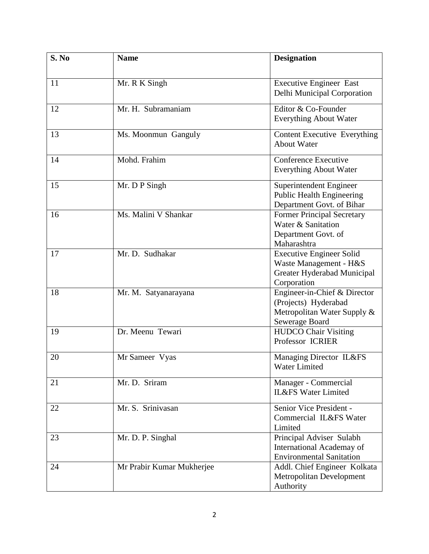| S. No | <b>Name</b>               | <b>Designation</b>                                                                                      |
|-------|---------------------------|---------------------------------------------------------------------------------------------------------|
| 11    | Mr. R K Singh             | <b>Executive Engineer East</b><br>Delhi Municipal Corporation                                           |
| 12    | Mr. H. Subramaniam        | Editor & Co-Founder<br><b>Everything About Water</b>                                                    |
| 13    | Ms. Moonmun Ganguly       | <b>Content Executive Everything</b><br><b>About Water</b>                                               |
| 14    | Mohd. Frahim              | <b>Conference Executive</b><br><b>Everything About Water</b>                                            |
| 15    | Mr. D P Singh             | Superintendent Engineer<br><b>Public Health Engineering</b><br>Department Govt. of Bihar                |
| 16    | Ms. Malini V Shankar      | <b>Former Principal Secretary</b><br>Water & Sanitation<br>Department Govt. of<br>Maharashtra           |
| 17    | Mr. D. Sudhakar           | <b>Executive Engineer Solid</b><br>Waste Management - H&S<br>Greater Hyderabad Municipal<br>Corporation |
| 18    | Mr. M. Satyanarayana      | Engineer-in-Chief & Director<br>(Projects) Hyderabad<br>Metropolitan Water Supply &<br>Sewerage Board   |
| 19    | Dr. Meenu Tewari          | <b>HUDCO Chair Visiting</b><br>Professor ICRIER                                                         |
| 20    | Mr Sameer Vyas            | Managing Director IL&FS<br>Water Limited                                                                |
| 21    | Mr. D. Sriram             | Manager - Commercial<br><b>IL&amp;FS Water Limited</b>                                                  |
| 22    | Mr. S. Srinivasan         | Senior Vice President -<br>Commercial IL&FS Water<br>Limited                                            |
| 23    | Mr. D. P. Singhal         | Principal Adviser Sulabh<br>International Academay of<br><b>Environmental Sanitation</b>                |
| 24    | Mr Prabir Kumar Mukherjee | Addl. Chief Engineer Kolkata<br>Metropolitan Development<br>Authority                                   |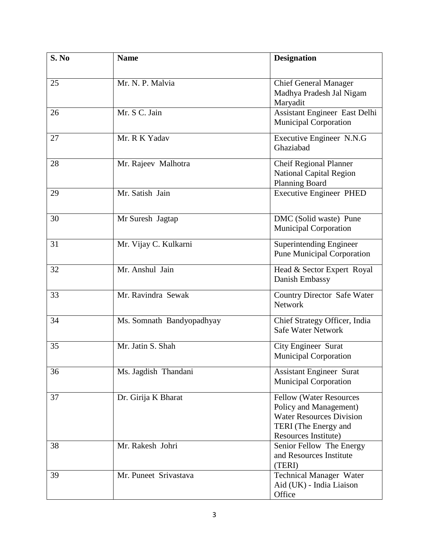| S. No | <b>Name</b>               | <b>Designation</b>                                                                                                                          |
|-------|---------------------------|---------------------------------------------------------------------------------------------------------------------------------------------|
| 25    | Mr. N. P. Malvia          | <b>Chief General Manager</b><br>Madhya Pradesh Jal Nigam<br>Maryadit                                                                        |
| 26    | Mr. S C. Jain             | Assistant Engineer East Delhi<br><b>Municipal Corporation</b>                                                                               |
| 27    | Mr. R K Yadav             | Executive Engineer N.N.G<br>Ghaziabad                                                                                                       |
| 28    | Mr. Rajeev Malhotra       | <b>Cheif Regional Planner</b><br><b>National Capital Region</b><br><b>Planning Board</b>                                                    |
| 29    | Mr. Satish Jain           | <b>Executive Engineer PHED</b>                                                                                                              |
| 30    | Mr Suresh Jagtap          | DMC (Solid waste) Pune<br><b>Municipal Corporation</b>                                                                                      |
| 31    | Mr. Vijay C. Kulkarni     | <b>Superintending Engineer</b><br><b>Pune Municipal Corporation</b>                                                                         |
| 32    | Mr. Anshul Jain           | Head & Sector Expert Royal<br>Danish Embassy                                                                                                |
| 33    | Mr. Ravindra Sewak        | <b>Country Director Safe Water</b><br><b>Network</b>                                                                                        |
| 34    | Ms. Somnath Bandyopadhyay | Chief Strategy Officer, India<br><b>Safe Water Network</b>                                                                                  |
| 35    | Mr. Jatin S. Shah         | <b>City Engineer Surat</b><br><b>Municipal Corporation</b>                                                                                  |
| 36    | Ms. Jagdish Thandani      | <b>Assistant Engineer Surat</b><br><b>Municipal Corporation</b>                                                                             |
| 37    | Dr. Girija K Bharat       | <b>Fellow (Water Resources</b><br>Policy and Management)<br><b>Water Resources Division</b><br>TERI (The Energy and<br>Resources Institute) |
| 38    | Mr. Rakesh Johri          | Senior Fellow The Energy<br>and Resources Institute<br>(TERI)                                                                               |
| 39    | Mr. Puneet Srivastava     | <b>Technical Manager Water</b><br>Aid (UK) - India Liaison<br>Office                                                                        |